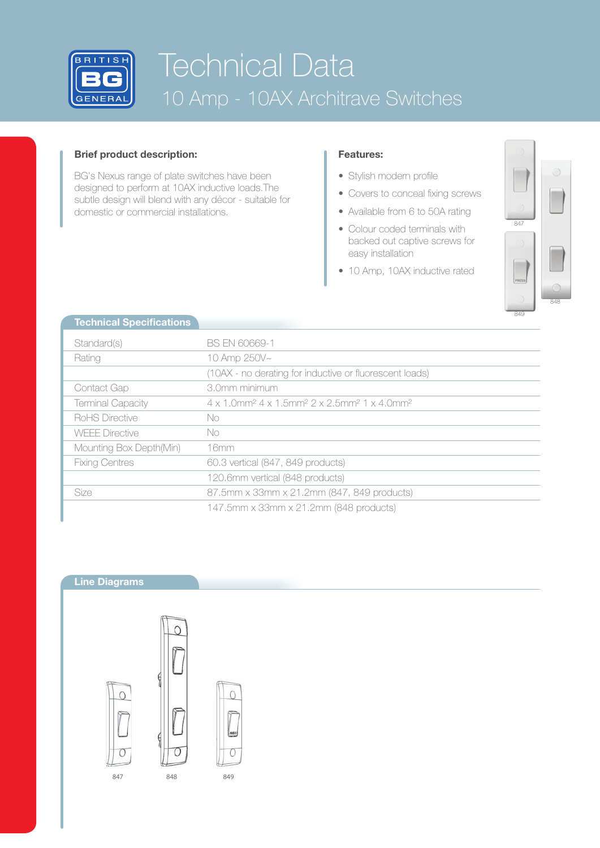

# Technical Data 10 Amp - 10AX Architrave Switches

## **Brief product description:**

BG's Nexus range of plate switches have been designed to perform at 10AX inductive loads.The subtle design will blend with any décor - suitable for domestic or commercial installations.

## **Features:**

- Stylish modern profile
- Covers to conceal fixing screws
- Available from 6 to 50A rating
- Colour coded terminals with backed out captive screws for easy installation
- 10 Amp, 10AX inductive rated



| <b>Technical Specifications</b> |                                                                                                                             |  |  |  |
|---------------------------------|-----------------------------------------------------------------------------------------------------------------------------|--|--|--|
| Standard(s)                     | BS EN 60669-1                                                                                                               |  |  |  |
| Rating                          | 10 Amp 250V~                                                                                                                |  |  |  |
|                                 | (10AX - no derating for inductive or fluorescent loads)                                                                     |  |  |  |
| Contact Gap                     | 3.0mm minimum                                                                                                               |  |  |  |
| <b>Terminal Capacity</b>        | $4 \times 1.0$ mm <sup>2</sup> $4 \times 1.5$ mm <sup>2</sup> $2 \times 2.5$ mm <sup>2</sup> $1 \times 4.0$ mm <sup>2</sup> |  |  |  |
| RoHS Directive                  | No.                                                                                                                         |  |  |  |
| <b>WEFE Directive</b>           | No.                                                                                                                         |  |  |  |
| Mounting Box Depth(Min)         | 16mm                                                                                                                        |  |  |  |
| <b>Fixing Centres</b>           | 60.3 vertical (847, 849 products)                                                                                           |  |  |  |
|                                 | 120.6mm vertical (848 products)                                                                                             |  |  |  |
| <b>Size</b>                     | 87.5mm x 33mm x 21.2mm (847, 849 products)                                                                                  |  |  |  |
|                                 | 147.5mm x 33mm x 21.2mm (848 products)                                                                                      |  |  |  |

## **Line Diagrams**